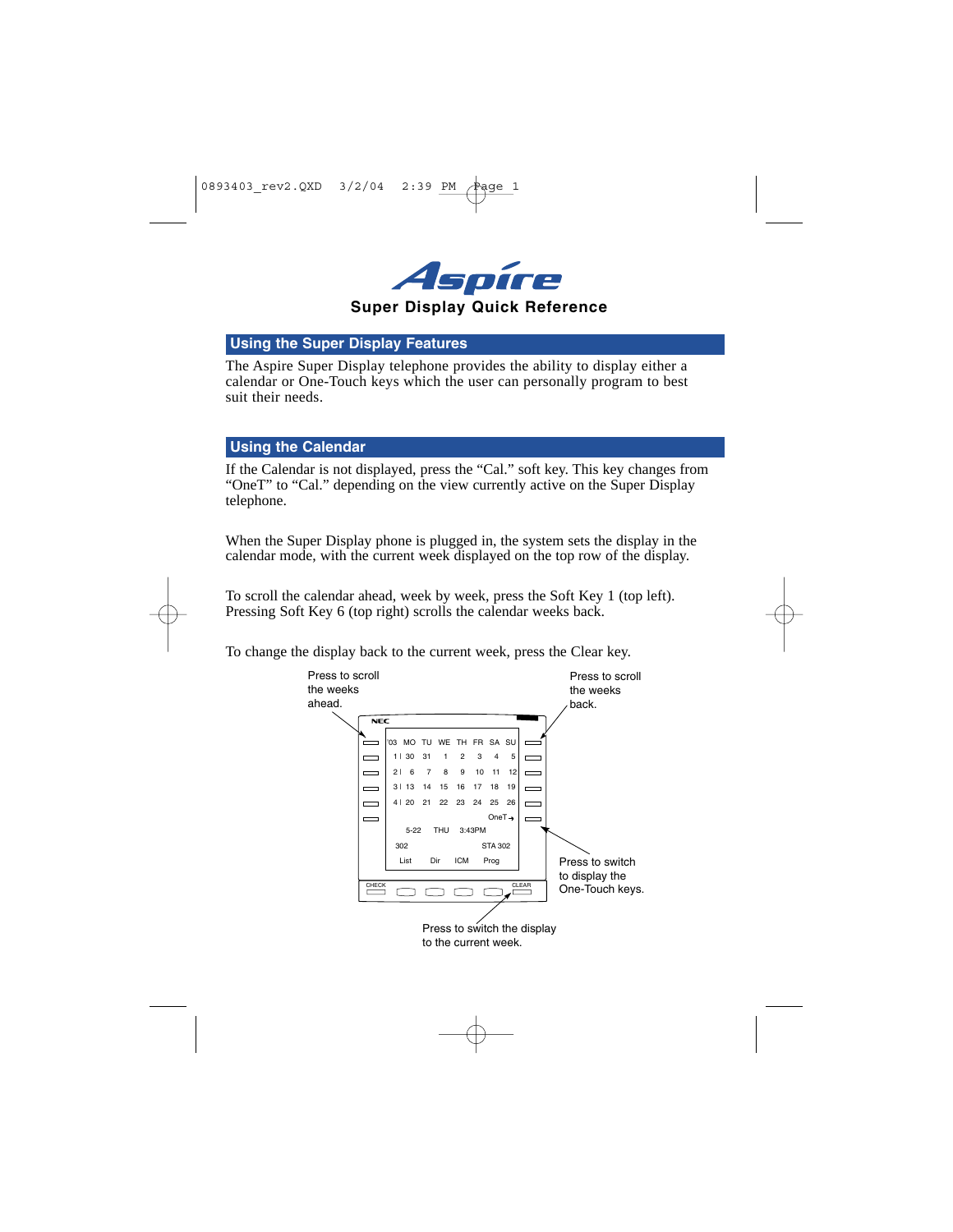

## **Using the Super Display Features**

The Aspire Super Display telephone provides the ability to display either a calendar or One-Touch keys which the user can personally program to best suit their needs.

## **Using the Calendar**

If the Calendar is not displayed, press the "Cal." soft key. This key changes from "OneT" to "Cal." depending on the view currently active on the Super Display telephone.

When the Super Display phone is plugged in, the system sets the display in the calendar mode, with the current week displayed on the top row of the display.

To scroll the calendar ahead, week by week, press the Soft Key 1 (top left). Pressing Soft Key 6 (top right) scrolls the calendar weeks back.

To change the display back to the current week, press the Clear key.